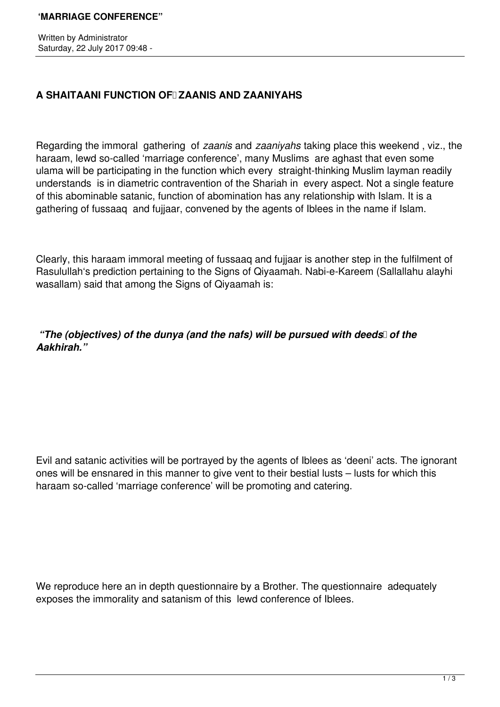Written by Administrator Saturday, 22 July 2017 09:48 -

## A SHAITAANI FUNCTION OF ZAANIS AND ZAANIYAHS

Regarding the immoral gathering of *zaanis* and *zaaniyahs* taking place this weekend , viz., the haraam, lewd so-called 'marriage conference', many Muslims are aghast that even some ulama will be participating in the function which every straight-thinking Muslim layman readily understands is in diametric contravention of the Shariah in every aspect. Not a single feature of this abominable satanic, function of abomination has any relationship with Islam. It is a gathering of fussaaq and fujjaar, convened by the agents of Iblees in the name if Islam.

Clearly, this haraam immoral meeting of fussaaq and fujjaar is another step in the fulfilment of Rasulullah's prediction pertaining to the Signs of Qiyaamah. Nabi-e-Kareem (Sallallahu alayhi wasallam) said that among the Signs of Qiyaamah is:

*"The (objectives) of the dunya (and the nafs) will be pursued with deeds* of the *Aakhirah."*

Evil and satanic activities will be portrayed by the agents of Iblees as 'deeni' acts. The ignorant ones will be ensnared in this manner to give vent to their bestial lusts – lusts for which this haraam so-called 'marriage conference' will be promoting and catering.

We reproduce here an in depth questionnaire by a Brother. The questionnaire adequately exposes the immorality and satanism of this lewd conference of Iblees.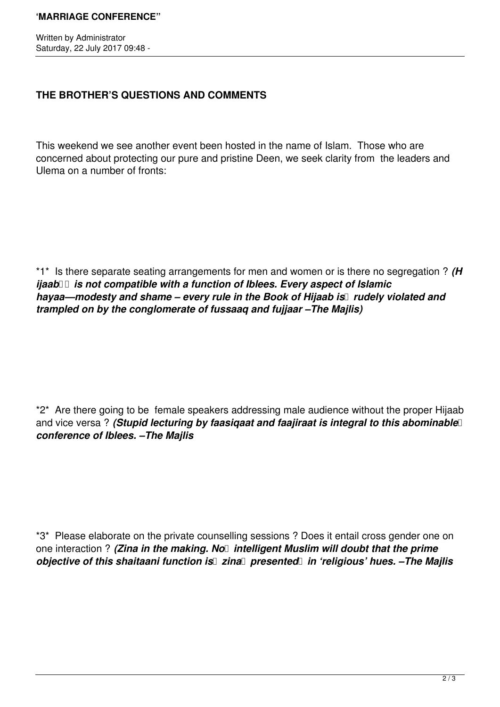Written by Administrator Saturday, 22 July 2017 09:48 -

## **THE BROTHER'S QUESTIONS AND COMMENTS**

This weekend we see another event been hosted in the name of Islam. Those who are concerned about protecting our pure and pristine Deen, we seek clarity from the leaders and Ulema on a number of fronts:

\*1\* Is there separate seating arrangements for men and women or is there no segregation ? *(H ijaab*  $\Box$  is not compatible with a function of Iblees. Every aspect of Islamic *hayaa—modesty and shame – every rule in the Book of Hijaab is* I rudely violated and *trampled on by the conglomerate of fussaaq and fujjaar –The Majlis)* 

\*2\* Are there going to be female speakers addressing male audience without the proper Hijaab and vice versa? *(Stupid lecturing by faasiqaat and faajiraat is integral to this abominable conference of Iblees. –The Majlis* 

\*3\* Please elaborate on the private counselling sessions ? Does it entail cross gender one on one interaction ? *(Zina in the making. No* intelligent Muslim will doubt that the prime *objective of this shaitaani function is* zina *presented in 'religious' hues.* -The Majlis